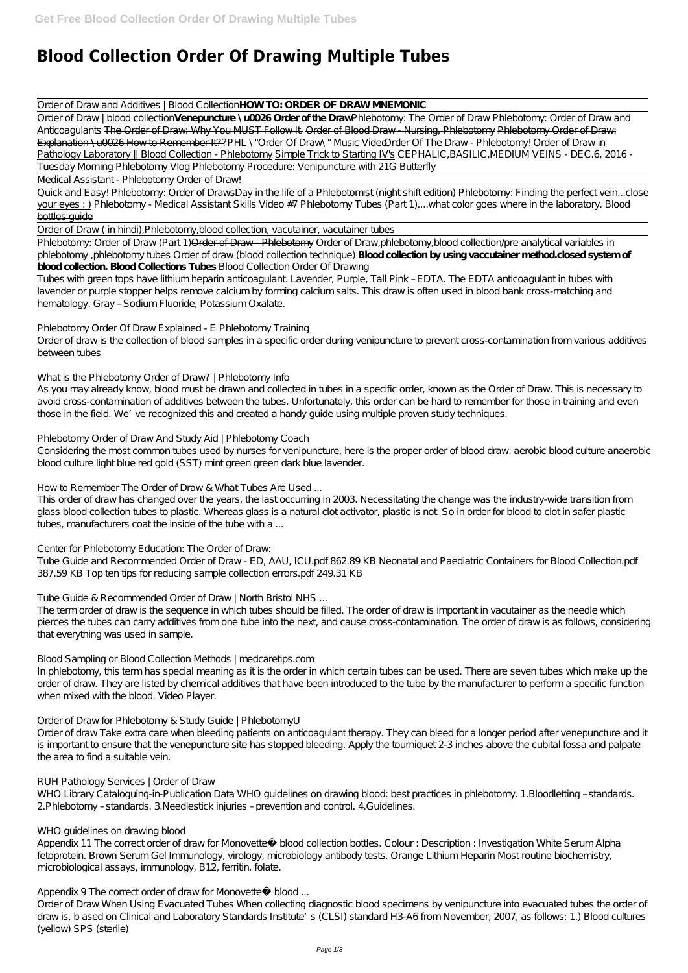# **Blood Collection Order Of Drawing Multiple Tubes**

#### Order of Draw and Additives | Blood Collection**HOW TO: ORDER OF DRAW MNEMONIC**

Order of Draw | blood collection**Venepuncture \u0026 Order of the Draw** Phlebotomy: The Order of Draw *Phlebotomy: Order of Draw and Anticoagulants* The Order of Draw: Why You MUST Follow It. Order of Blood Draw - Nursing, Phlebotomy Phlebotomy Order of Draw: Explanation \u0026 How to Remember It?? PHL \"Order Of Draw\" Music Vide@rder Of The Draw - Phlebotomy! Order of Draw in Pathology Laboratory || Blood Collection - Phlebotomy Simple Trick to Starting IV's *CEPHALIC,BASILIC,MEDIUM VEINS - DEC.6, 2016 - Tuesday Morning Phlebotomy Vlog Phlebotomy Procedure: Venipuncture with 21G Butterfly*

Quick and Easy! Phlebotomy: Order of DrawsDay in the life of a Phlebotomist (night shift edition) Phlebotomy: Finding the perfect vein...close your eyes : ) *Phlebotomy - Medical Assistant Skills Video #7 Phlebotomy Tubes (Part 1)....what color goes where in the laboratory.* Blood bottles guide

Phlebotomy: Order of Draw (Part 1) Order of Draw - Phlebotomy *Order of Draw, phlebotomy*, blood collection/pre analytical variables in *phlebotomy ,phlebotomy tubes* Order of draw (blood collection technique) **Blood collection by using vaccutainer method.closed system of blood collection. Blood Collections Tubes** *Blood Collection Order Of Drawing*

Medical Assistant - Phlebotomy Order of Draw!

Tubes with green tops have lithium heparin anticoagulant. Lavender, Purple, Tall Pink - EDTA. The EDTA anticoagulant in tubes with lavender or purple stopper helps remove calcium by forming calcium salts. This draw is often used in blood bank cross-matching and hematology. Gray – Sodium Fluoride, Potassium Oxalate.

#### Order of Draw ( in hindi),Phlebotomy,blood collection, vacutainer, vacutainer tubes

This order of draw has changed over the years, the last occurring in 2003. Necessitating the change was the industry-wide transition from glass blood collection tubes to plastic. Whereas glass is a natural clot activator, plastic is not. So in order for blood to clot in safer plastic tubes, manufacturers coat the inside of the tube with a ...

## *Phlebotomy Order Of Draw Explained - E Phlebotomy Training*

Order of draw is the collection of blood samples in a specific order during venipuncture to prevent cross-contamination from various additives between tubes

## *What is the Phlebotomy Order of Draw? | Phlebotomy Info*

As you may already know, blood must be drawn and collected in tubes in a specific order, known as the Order of Draw. This is necessary to avoid cross-contamination of additives between the tubes. Unfortunately, this order can be hard to remember for those in training and even those in the field. We've recognized this and created a handy guide using multiple proven study techniques.

WHO Library Cataloguing-in-Publication Data WHO guidelines on drawing blood: best practices in phlebotomy. 1.Bloodletting - standards. 2.Phlebotomy – standards. 3.Needlestick injuries – prevention and control. 4.Guidelines.

## *Phlebotomy Order of Draw And Study Aid | Phlebotomy Coach*

Appendix 11 The correct order of draw for Monovette® blood collection bottles. Colour : Description : Investigation White Serum Alpha fetoprotein. Brown Serum Gel Immunology, virology, microbiology antibody tests. Orange Lithium Heparin Most routine biochemistry, microbiological assays, immunology, B12, ferritin, folate.

Considering the most common tubes used by nurses for venipuncture, here is the proper order of blood draw: aerobic blood culture anaerobic blood culture light blue red gold (SST) mint green green dark blue lavender.

## *How to Remember The Order of Draw & What Tubes Are Used ...*

## *Center for Phlebotomy Education: The Order of Draw:*

Tube Guide and Recommended Order of Draw - ED, AAU, ICU.pdf 862.89 KB Neonatal and Paediatric Containers for Blood Collection.pdf 387.59 KB Top ten tips for reducing sample collection errors.pdf 249.31 KB

## *Tube Guide & Recommended Order of Draw | North Bristol NHS ...*

The term order of draw is the sequence in which tubes should be filled. The order of draw is important in vacutainer as the needle which pierces the tubes can carry additives from one tube into the next, and cause cross-contamination. The order of draw is as follows, considering that everything was used in sample.

## *Blood Sampling or Blood Collection Methods | medcaretips.com*

In phlebotomy, this term has special meaning as it is the order in which certain tubes can be used. There are seven tubes which make up the order of draw. They are listed by chemical additives that have been introduced to the tube by the manufacturer to perform a specific function when mixed with the blood. Video Player.

## *Order of Draw for Phlebotomy & Study Guide | PhlebotomyU*

Order of draw Take extra care when bleeding patients on anticoagulant therapy. They can bleed for a longer period after venepuncture and it

is important to ensure that the venepuncture site has stopped bleeding. Apply the tourniquet 2-3 inches above the cubital fossa and palpate the area to find a suitable vein.

#### *RUH Pathology Services | Order of Draw*

#### *WHO guidelines on drawing blood*

#### *Appendix 9 The correct order of draw for Monovette® blood ...*

Order of Draw When Using Evacuated Tubes When collecting diagnostic blood specimens by venipuncture into evacuated tubes the order of draw is, b ased on Clinical and Laboratory Standards Institute's (CLSI) standard H3-A6 from November, 2007, as follows: 1.) Blood cultures (yellow) SPS (sterile)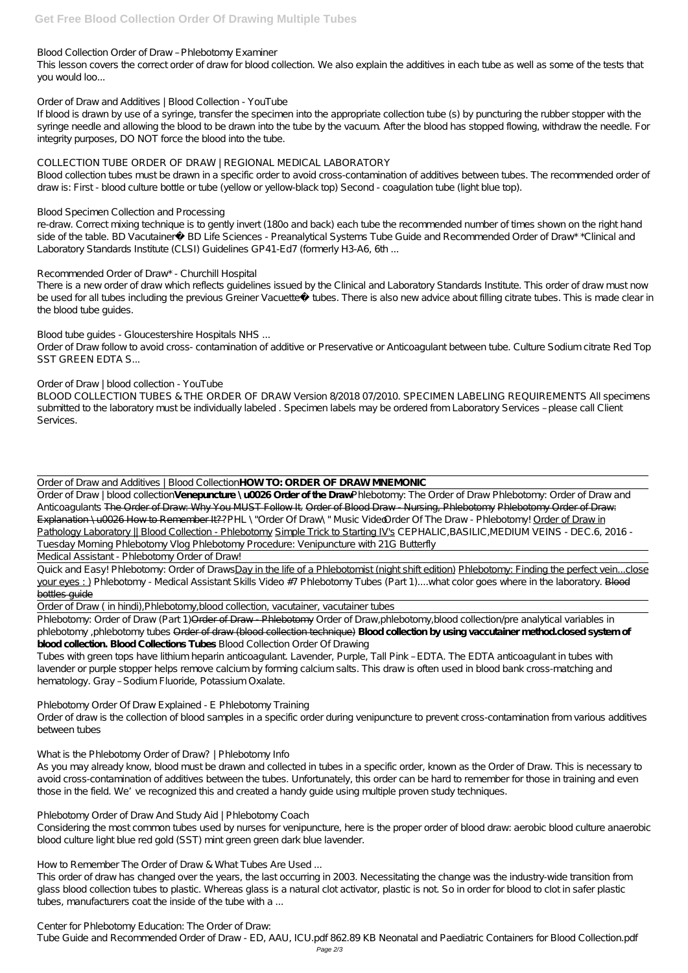#### *Blood Collection Order of Draw – Phlebotomy Examiner*

This lesson covers the correct order of draw for blood collection. We also explain the additives in each tube as well as some of the tests that you would loo...

#### *Order of Draw and Additives | Blood Collection - YouTube*

If blood is drawn by use of a syringe, transfer the specimen into the appropriate collection tube (s) by puncturing the rubber stopper with the syringe needle and allowing the blood to be drawn into the tube by the vacuum. After the blood has stopped flowing, withdraw the needle. For integrity purposes, DO NOT force the blood into the tube.

re-draw. Correct mixing technique is to gently invert (180o and back) each tube the recommended number of times shown on the right hand side of the table. BD Vacutainer® BD Life Sciences - Preanalytical Systems Tube Guide and Recommended Order of Draw\* \*Clinical and Laboratory Standards Institute (CLSI) Guidelines GP41-Ed7 (formerly H3-A6, 6th ...

#### *COLLECTION TUBE ORDER OF DRAW | REGIONAL MEDICAL LABORATORY*

Blood collection tubes must be drawn in a specific order to avoid cross-contamination of additives between tubes. The recommended order of draw is: First - blood culture bottle or tube (yellow or yellow-black top) Second - coagulation tube (light blue top).

There is a new order of draw which reflects quidelines issued by the Clinical and Laboratory Standards Institute. This order of draw must now be used for all tubes including the previous Greiner Vacuette® tubes. There is also new advice about filling citrate tubes. This is made clear in the blood tube guides.

#### *Blood Specimen Collection and Processing*

#### *Recommended Order of Draw\* - Churchill Hospital*

#### *Blood tube guides - Gloucestershire Hospitals NHS ...*

Phlebotomy: Order of Draw (Part 1) Order of Draw - Phlebotomy *Order of Draw, phlebotomy*, blood collection/pre analytical variables in *phlebotomy ,phlebotomy tubes* Order of draw (blood collection technique) **Blood collection by using vaccutainer method.closed system of blood collection. Blood Collections Tubes** *Blood Collection Order Of Drawing*

Tubes with green tops have lithium heparin anticoagulant. Lavender, Purple, Tall Pink - EDTA. The EDTA anticoagulant in tubes with lavender or purple stopper helps remove calcium by forming calcium salts. This draw is often used in blood bank cross-matching and hematology. Gray - Sodium Fluoride, Potassium Oxalate.

Order of Draw follow to avoid cross- contamination of additive or Preservative or Anticoagulant between tube. Culture Sodium citrate Red Top SST GREEN EDTA S...

## *Order of Draw | blood collection - YouTube*

BLOOD COLLECTION TUBES & THE ORDER OF DRAW Version 8/2018 07/2010. SPECIMEN LABELING REQUIREMENTS All specimens submitted to the laboratory must be individually labeled . Specimen labels may be ordered from Laboratory Services – please call Client Services.

Order of Draw and Additives | Blood Collection**HOW TO: ORDER OF DRAW MNEMONIC**

This order of draw has changed over the years, the last occurring in 2003. Necessitating the change was the industry-wide transition from glass blood collection tubes to plastic. Whereas glass is a natural clot activator, plastic is not. So in order for blood to clot in safer plastic tubes, manufacturers coat the inside of the tube with a ...

Order of Draw | blood collection**Venepuncture \u0026 Order of the Draw** Phlebotomy: The Order of Draw *Phlebotomy: Order of Draw and Anticoagulants* The Order of Draw: Why You MUST Follow It. Order of Blood Draw - Nursing, Phlebotomy Phlebotomy Order of Draw: Explanation \u0026 How to Remember It?? PHL \"Order Of Draw\" Music Vide@rder Of The Draw - Phlebotomy! Order of Draw in Pathology Laboratory || Blood Collection - Phlebotomy Simple Trick to Starting IV's *CEPHALIC, BASILIC, MEDIUM VEINS - DEC.6, 2016* -*Tuesday Morning Phlebotomy Vlog Phlebotomy Procedure: Venipuncture with 21G Butterfly*

Medical Assistant - Phlebotomy Order of Draw!

Quick and Easy! Phlebotomy: Order of DrawsDay in the life of a Phlebotomist (night shift edition) Phlebotomy: Finding the perfect vein...close your eyes : ) *Phlebotomy - Medical Assistant Skills Video #7 Phlebotomy Tubes (Part 1)....what color goes where in the laboratory.* Blood bottles guide

Order of Draw ( in hindi),Phlebotomy,blood collection, vacutainer, vacutainer tubes

## *Phlebotomy Order Of Draw Explained - E Phlebotomy Training*

Order of draw is the collection of blood samples in a specific order during venipuncture to prevent cross-contamination from various additives between tubes

#### *What is the Phlebotomy Order of Draw? | Phlebotomy Info*

As you may already know, blood must be drawn and collected in tubes in a specific order, known as the Order of Draw. This is necessary to avoid cross-contamination of additives between the tubes. Unfortunately, this order can be hard to remember for those in training and even those in the field. We've recognized this and created a handy guide using multiple proven study techniques.

#### *Phlebotomy Order of Draw And Study Aid | Phlebotomy Coach*

Considering the most common tubes used by nurses for venipuncture, here is the proper order of blood draw: aerobic blood culture anaerobic blood culture light blue red gold (SST) mint green green dark blue lavender.

*How to Remember The Order of Draw & What Tubes Are Used ...*

*Center for Phlebotomy Education: The Order of Draw:*

Tube Guide and Recommended Order of Draw - ED, AAU, ICU.pdf 862.89 KB Neonatal and Paediatric Containers for Blood Collection.pdf